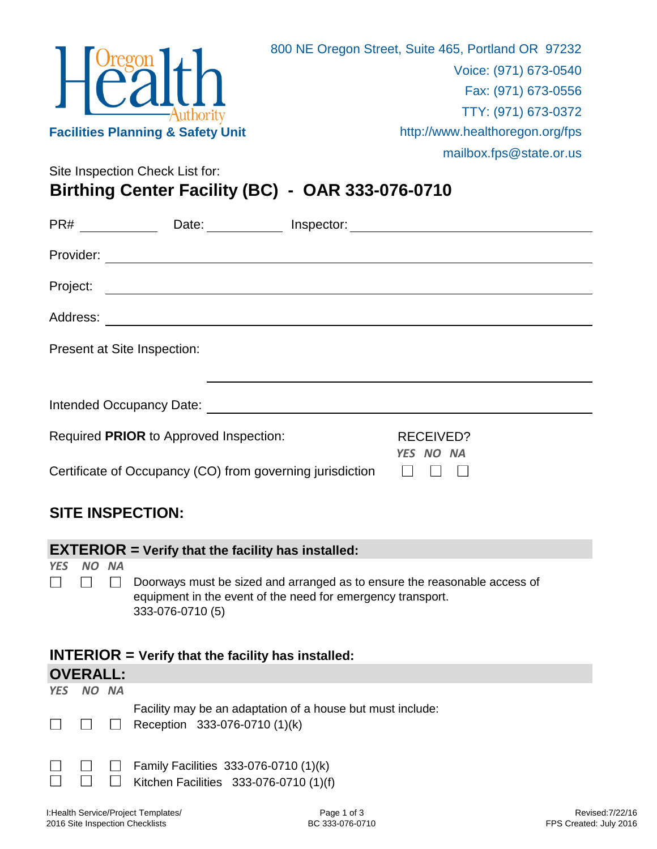

Site Inspection Check List for:

## **Birthing Center Facility (BC) - OAR 333-076-0710**

| PR#                                                       | Date:                                                                                                                                                                                                                          | Inspector:             |  |  |
|-----------------------------------------------------------|--------------------------------------------------------------------------------------------------------------------------------------------------------------------------------------------------------------------------------|------------------------|--|--|
| Provider:                                                 |                                                                                                                                                                                                                                |                        |  |  |
| Project:                                                  | <u> 1980 - Andrea Andrew Maria (h. 1980).</u>                                                                                                                                                                                  |                        |  |  |
| Address:                                                  | <u> 1989 - Andrea Andrew Maria (h. 1989).</u>                                                                                                                                                                                  |                        |  |  |
| Present at Site Inspection:                               |                                                                                                                                                                                                                                |                        |  |  |
|                                                           |                                                                                                                                                                                                                                |                        |  |  |
|                                                           | Intended Occupancy Date: Notelland State and State and State and State and State and State and State and State and State and State and State and State and State and State and State and State and State and State and State a |                        |  |  |
| Required PRIOR to Approved Inspection:                    |                                                                                                                                                                                                                                | RECEIVED?<br>YES NO NA |  |  |
| Certificate of Occupancy (CO) from governing jurisdiction |                                                                                                                                                                                                                                |                        |  |  |

## **SITE INSPECTION:**

| $EXTERIOR = Verify that the facility has installed:$ |       |  |                                                                                                                                                              |  |  |  |
|------------------------------------------------------|-------|--|--------------------------------------------------------------------------------------------------------------------------------------------------------------|--|--|--|
| <b>YES</b>                                           | NO NA |  |                                                                                                                                                              |  |  |  |
|                                                      |       |  | Doorways must be sized and arranged as to ensure the reasonable access of<br>equipment in the event of the need for emergency transport.<br>333-076-0710 (5) |  |  |  |
| $INTERIOR = Verify that the facility has installed:$ |       |  |                                                                                                                                                              |  |  |  |
| <b>OVERALL:</b>                                      |       |  |                                                                                                                                                              |  |  |  |
| <b>YES</b>                                           | NO NA |  |                                                                                                                                                              |  |  |  |
|                                                      |       |  | Facility may be an adaptation of a house but must include:                                                                                                   |  |  |  |
|                                                      |       |  |                                                                                                                                                              |  |  |  |
|                                                      |       |  | Reception 333-076-0710 (1)(k)                                                                                                                                |  |  |  |
|                                                      |       |  |                                                                                                                                                              |  |  |  |
|                                                      |       |  | Family Facilities 333-076-0710 (1)(k)<br>Kitchen Facilities 333-076-0710 (1)(f)                                                                              |  |  |  |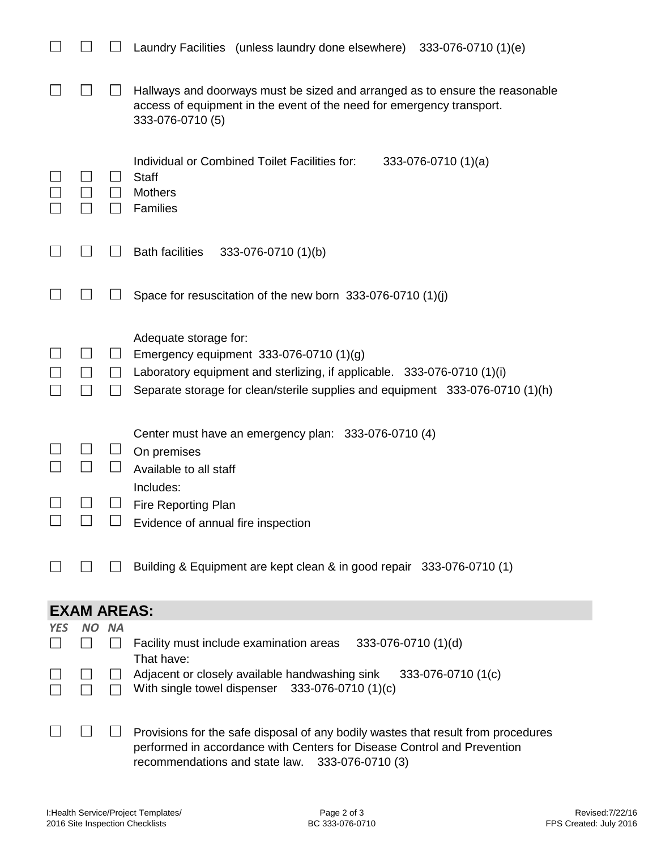|            |                    |                      | Laundry Facilities (unless laundry done elsewhere)<br>333-076-0710 (1)(e)                                                                                                                                                    |  |  |
|------------|--------------------|----------------------|------------------------------------------------------------------------------------------------------------------------------------------------------------------------------------------------------------------------------|--|--|
|            |                    |                      | Hallways and doorways must be sized and arranged as to ensure the reasonable<br>access of equipment in the event of the need for emergency transport.<br>333-076-0710 (5)                                                    |  |  |
|            |                    |                      | Individual or Combined Toilet Facilities for:<br>$333-076-0710(1)(a)$<br><b>Staff</b><br><b>Mothers</b><br>Families                                                                                                          |  |  |
|            |                    |                      | <b>Bath facilities</b><br>333-076-0710 (1)(b)                                                                                                                                                                                |  |  |
|            |                    |                      | Space for resuscitation of the new born 333-076-0710 (1)(j)                                                                                                                                                                  |  |  |
|            |                    | $\sqcup$             | Adequate storage for:<br>Emergency equipment 333-076-0710 (1)(g)<br>Laboratory equipment and sterlizing, if applicable. 333-076-0710 (1)(i)<br>Separate storage for clean/sterile supplies and equipment 333-076-0710 (1)(h) |  |  |
|            |                    |                      | Center must have an emergency plan: 333-076-0710 (4)<br>On premises<br>Available to all staff                                                                                                                                |  |  |
|            |                    |                      | Includes:<br><b>Fire Reporting Plan</b>                                                                                                                                                                                      |  |  |
|            |                    |                      | Evidence of annual fire inspection                                                                                                                                                                                           |  |  |
|            |                    |                      | Building & Equipment are kept clean & in good repair 333-076-0710 (1)                                                                                                                                                        |  |  |
|            | <b>EXAM AREAS:</b> |                      |                                                                                                                                                                                                                              |  |  |
| <b>YES</b> | <b>NO</b>          | <b>NA</b><br>$\perp$ | Facility must include examination areas<br>333-076-0710 (1)(d)<br>That have:                                                                                                                                                 |  |  |
|            |                    |                      | Adjacent or closely available handwashing sink<br>333-076-0710 (1(c)<br>333-076-0710 (1)(c)<br>With single towel dispenser                                                                                                   |  |  |
|            |                    |                      | Provisions for the safe disposal of any bodily wastes that result from procedures                                                                                                                                            |  |  |

performed in accordance with Centers for Disease Control and Prevention recommendations and state law. 333-076-0710 (3)